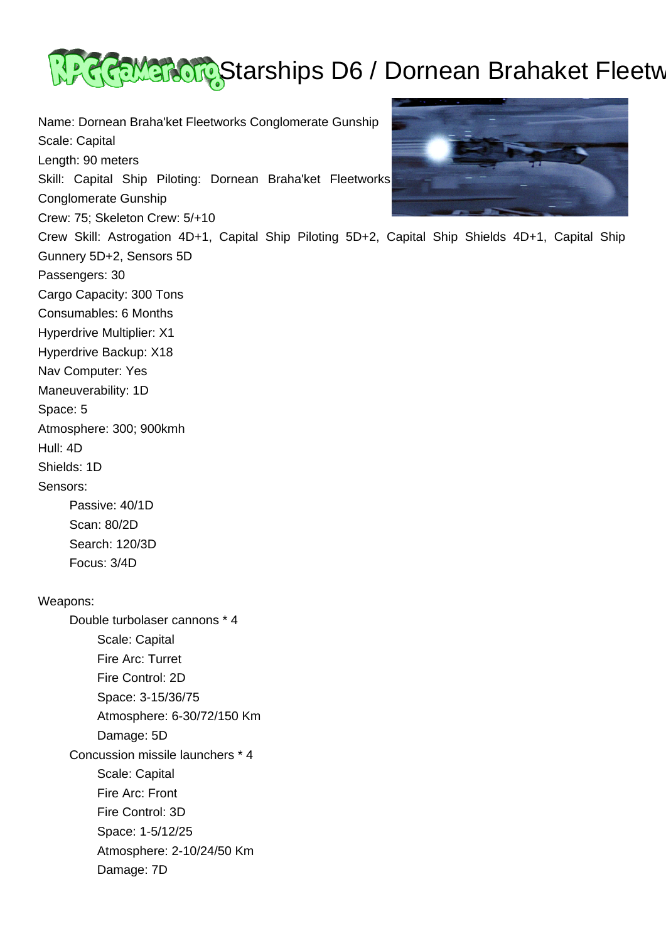

Name: Dornean Braha'ket Fleetworks Conglomerate Gunship Scale: Capital Length: 90 meters Skill: Capital Ship Piloting: Dornean Braha'ket Fleetworks Conglomerate Gunship Crew: 75; Skeleton Crew: 5/+10 Gunnery 5D+2, Sensors 5D Passengers: 30 Cargo Capacity: 300 Tons Consumables: 6 Months Hyperdrive Multiplier: X1 Hyperdrive Backup: X18 Nav Computer: Yes Maneuverability: 1D Atmosphere: 300; 900kmh Hull: 4D Shields: 1D Sensors: Passive: 40/1D Scan: 80/2D Search: 120/3D Focus: 3/4D Double turbolaser cannons \* 4 Scale: Capital Fire Arc: Turret Fire Control: 2D



Crew Skill: Astrogation 4D+1, Capital Ship Piloting 5D+2, Capital Ship Shields 4D+1, Capital Ship

Space: 5

Weapons:

 Space: 3-15/36/75 Atmosphere: 6-30/72/150 Km Damage: 5D Concussion missile launchers \* 4 Scale: Capital Fire Arc: Front Fire Control: 3D Space: 1-5/12/25 Atmosphere: 2-10/24/50 Km Damage: 7D